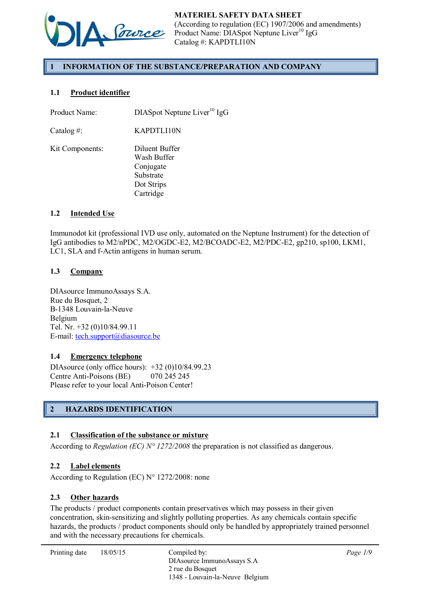

# 1 INFORMATION OF THE SUBSTANCE/PREPARATION AND COMPANY

## 1.1 Product identifier

| KAPDTLI10N<br>Catalog #:<br>Diluent Buffer<br>Kit Components:<br>Wash Buffer<br>Conjugate<br>Substrate<br>Dot Strips<br>Cartridge | Product Name: | DIASpot Neptune Liver <sup>10</sup> IgG |
|-----------------------------------------------------------------------------------------------------------------------------------|---------------|-----------------------------------------|
|                                                                                                                                   |               |                                         |
|                                                                                                                                   |               |                                         |

## 1.2 Intended Use

Immunodot kit (professional IVD use only, automated on the Neptune Instrument) for the detection of IgG antibodies to M2/nPDC, M2/OGDC-E2, M2/BCOADC-E2, M2/PDC-E2, gp210, sp100, LKM1, LC1, SLA and f-Actin antigens in human serum.

#### 1.3 Company

DIAsource ImmunoAssays S.A. Rue du Bosquet, 2 B-1348 Louvain-la-Neuve Belgium Tel. Nr. +32 (0)10/84.99.11 E-mail: tech.support $(a)$ diasource.be

#### 1.4 Emergency telephone

DIAsource (only office hours): +32 (0)10/84.99.23 Centre Anti-Poisons (BE) 070 245 245 Please refer to your local Anti-Poison Center!

# 2 HAZARDS IDENTIFICATION

#### 2.1 Classification of the substance or mixture

According to *Regulation (EC) N° 1272/2008* the preparation is not classified as dangerous.

## 2.2 Label elements

According to Regulation (EC) N° 1272/2008: none

#### 2.3 Other hazards

The products / product components contain preservatives which may possess in their given concentration, skin-sensitizing and slightly polluting properties. As any chemicals contain specific hazards, the products / product components should only be handled by appropriately trained personnel and with the necessary precautions for chemicals.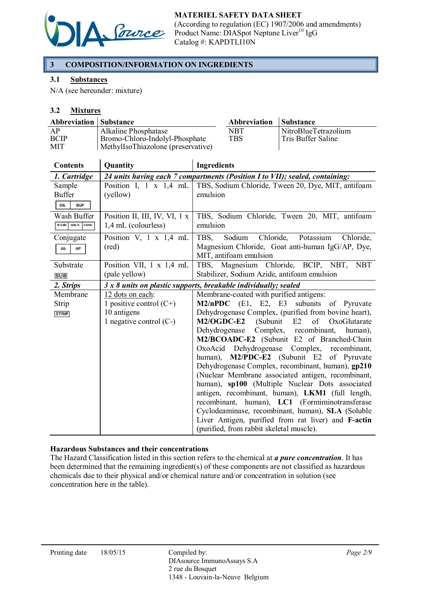

# 3 COMPOSITION/INFORMATION ON INGREDIENTS

## 3.1 Substances

N/A (see hereunder: mixture)

## 3.2 Mixtures

| <b>Abbreviation   Substance</b> |                                                                      | Abbreviation | <b>Substance</b>     |
|---------------------------------|----------------------------------------------------------------------|--------------|----------------------|
| AP                              | Alkaline Phosphatase                                                 | NBT          | NitroBlueTetrazolium |
| <b>BCIP</b><br>MIT              | Bromo-Chloro-Indolyl-Phosphate<br>MethylIsoThiazolone (preservative) | <b>TBS</b>   | Tris Buffer Saline   |

| <b>Contents</b>    | Quantity                      | <b>Ingredients</b>                                                                                  |
|--------------------|-------------------------------|-----------------------------------------------------------------------------------------------------|
| 1. Cartridge       |                               | 24 units having each 7 compartments (Position I to VII); sealed, containing:                        |
| Sample             | Position I, $1 \times 1,4$ mL | TBS, Sodium Chloride, Tween 20, Dye, MIT, antifoam                                                  |
| <b>Buffer</b>      | (yellow)                      | emulsion                                                                                            |
| DIL.<br><b>BUF</b> |                               |                                                                                                     |
| Wash Buffer        | Position II, III, IV, VI, 1 x | TBS, Sodium Chloride, Tween 20, MIT, antifoam                                                       |
| WASH SOLN CONC     | 1,4 mL (colourless)           | emulsion                                                                                            |
| Conjugate          | Position V, $1 \times 1.4$ mL | Sodium Chloride, Potassium<br>Chloride,<br>TBS,                                                     |
| Ab<br>AP           | (red)                         | Magnesium Chloride, Goat anti-human IgG/AP, Dye,                                                    |
|                    |                               | MIT, antifoam emulsion                                                                              |
| Substrate          | Position VII, 1 x 1,4 mL      | TBS, Magnesium Chloride, BCIP, NBT, NBT                                                             |
| <b>SUB</b>         | (pale yellow)                 | Stabilizer, Sodium Azide, antifoam emulsion                                                         |
| 2. Strips          |                               | 3 x 8 units on plastic supports, breakable individually; sealed                                     |
| Membrane           | 12 dots on each:              | Membrane-coated with purified antigens:                                                             |
| Strip              | 1 positive control $(C+)$     | M2/nPDC (E1, E2, E3 subunits of Pyruvate                                                            |
| <b>STRIP</b>       | 10 antigens                   | Dehydrogenase Complex, (purified from bovine heart),                                                |
|                    | 1 negative control $(C-)$     | M2/OGDC-E2<br>(Subunit)<br>E2<br>of<br>OxoGlutarate                                                 |
|                    |                               | Dehydrogenase Complex, recombinant,<br>human),                                                      |
|                    |                               | M2/BCOADC-E2 (Subunit E2 of Branched-Chain                                                          |
|                    |                               | OxoAcid Dehydrogenase Complex, recombinant,                                                         |
|                    |                               | M2/PDC-E2 (Subunit E2 of Pyruvate<br>human),                                                        |
|                    |                               | Dehydrogenase Complex, recombinant, human), gp210                                                   |
|                    |                               | (Nuclear Membrane associated antigen, recombinant,                                                  |
|                    |                               | human), sp100 (Multiple Nuclear Dots associated                                                     |
|                    |                               | antigen, recombinant, human), LKM1 (full length,                                                    |
|                    |                               | recombinant, human), LC1 (Formiminotransferase<br>Cyclodeaminase, recombinant, human), SLA (Soluble |
|                    |                               | Liver Antigen, purified from rat liver) and F-actin                                                 |
|                    |                               | (purified, from rabbit skeletal muscle).                                                            |
|                    |                               |                                                                                                     |

#### Hazardous Substances and their concentrations

The Hazard Classification listed in this section refers to the chemical at *a pure concentration*. It has been determined that the remaining ingredient(s) of these components are not classified as hazardous chemicals due to their physical and/or chemical nature and/or concentration in solution (see concentration here in the table).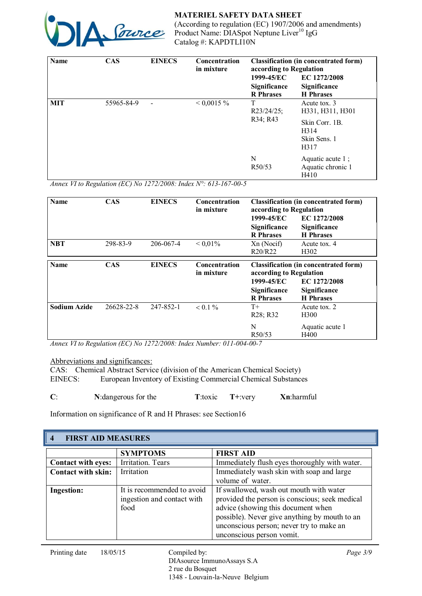

| <b>Name</b> | <b>CAS</b> | <b>EINECS</b> | Concentration<br>in mixture | according to Regulation                        | <b>Classification (in concentrated form)</b>                                       |
|-------------|------------|---------------|-----------------------------|------------------------------------------------|------------------------------------------------------------------------------------|
|             |            |               |                             | 1999-45/EC<br>Significance<br><b>R</b> Phrases | EC 1272/2008<br>Significance<br><b>H</b> Phrases                                   |
| <b>MIT</b>  | 55965-84-9 |               | $< 0.0015 \%$               | T<br>$R23/24/25$ ;<br>R34; R43                 | Acute tox. 3<br>H331, H311, H301<br>Skin Corr. 1B.<br>H314<br>Skin Sens. 1<br>H317 |
|             |            |               |                             | N<br>R50/53                                    | Aquatic acute 1;<br>Aquatic chronic 1<br>H410                                      |

*Annex VI to Regulation (EC) No 1272/2008: Index N°: 613-167-00-5*

| <b>Name</b>         | <b>CAS</b> | <b>EINECS</b> | <b>Concentration</b><br>in mixture | <b>Classification (in concentrated form)</b><br>according to Regulation |                                                         |
|---------------------|------------|---------------|------------------------------------|-------------------------------------------------------------------------|---------------------------------------------------------|
|                     |            |               |                                    | 1999-45/EC<br>Significance<br><b>R</b> Phrases                          | EC 1272/2008<br>Significance<br><b>H</b> Phrases        |
| <b>NBT</b>          | 298-83-9   | 206-067-4     | ${}< 0.01\%$                       | Xn (Nocif)<br>R20/R22                                                   | Acute tox. 4<br>H <sub>3</sub> 02                       |
| <b>Name</b>         | <b>CAS</b> | <b>EINECS</b> | <b>Concentration</b><br>in mixture | <b>Classification (in concentrated form)</b><br>according to Regulation |                                                         |
|                     |            |               |                                    | 1999-45/EC<br><b>Significance</b><br><b>R</b> Phrases                   | EC 1272/2008<br><b>Significance</b><br><b>H</b> Phrases |
| <b>Sodium Azide</b> | 26628-22-8 | 247-852-1     | $< 0.1 \%$                         | $T+$<br>R <sub>28</sub> ; R <sub>32</sub>                               | Acute tox. 2<br>H <sub>300</sub>                        |
|                     |            |               |                                    | N<br>R <sub>50</sub> /53                                                | Aquatic acute 1<br>H400                                 |

*Annex VI to Regulation (EC) No 1272/2008: Index Number: 011-004-00-7*

Abbreviations and significances:

CAS: Chemical Abstract Service (division of the American Chemical Society) EINECS: European Inventory of Existing Commercial Chemical Substances

| J. | N: dangerous for the | T:toxic<br>$T+$ : verv | Xn:harmful |
|----|----------------------|------------------------|------------|
|    |                      |                        |            |

Information on significance of R and H Phrases: see Section16

| $\boldsymbol{4}$          | <b>FIRST AID MEASURES</b>                                        |                                                                                                                                                                                                                                                           |  |  |  |
|---------------------------|------------------------------------------------------------------|-----------------------------------------------------------------------------------------------------------------------------------------------------------------------------------------------------------------------------------------------------------|--|--|--|
|                           | <b>SYMPTOMS</b>                                                  | <b>FIRST AID</b>                                                                                                                                                                                                                                          |  |  |  |
| <b>Contact with eyes:</b> | Irritation. Tears                                                | Immediately flush eyes thoroughly with water.                                                                                                                                                                                                             |  |  |  |
| <b>Contact with skin:</b> | Irritation                                                       | Immediately wash skin with soap and large<br>volume of water.                                                                                                                                                                                             |  |  |  |
| <b>Ingestion:</b>         | It is recommended to avoid<br>ingestion and contact with<br>food | If swallowed, wash out mouth with water<br>provided the person is conscious; seek medical<br>advice (showing this document when<br>possible). Never give anything by mouth to an<br>unconscious person; never try to make an<br>unconscious person vomit. |  |  |  |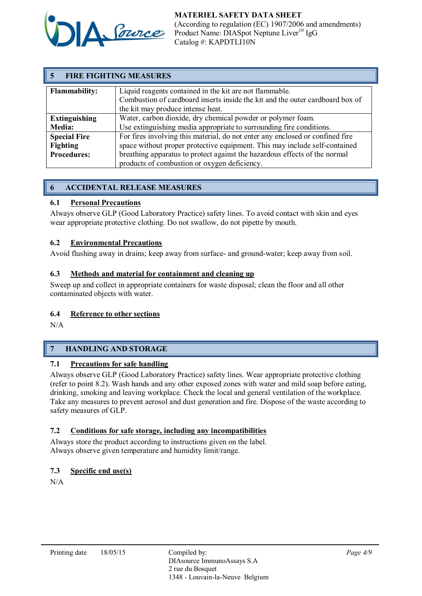

|                      | <b>FIRE FIGHTING MEASURES</b>                                                                                                                                                 |  |  |  |
|----------------------|-------------------------------------------------------------------------------------------------------------------------------------------------------------------------------|--|--|--|
| <b>Flammability:</b> | Liquid reagents contained in the kit are not flammable.<br>Combustion of cardboard inserts inside the kit and the outer cardboard box of<br>the kit may produce intense heat. |  |  |  |
| <b>Extinguishing</b> | Water, carbon dioxide, dry chemical powder or polymer foam.                                                                                                                   |  |  |  |
| <b>Media:</b>        | Use extinguishing media appropriate to surrounding fire conditions.                                                                                                           |  |  |  |
| <b>Special Fire</b>  | For fires involving this material, do not enter any enclosed or confined fire                                                                                                 |  |  |  |
| <b>Fighting</b>      | space without proper protective equipment. This may include self-contained                                                                                                    |  |  |  |
| <b>Procedures:</b>   | breathing apparatus to protect against the hazardous effects of the normal                                                                                                    |  |  |  |
|                      | products of combustion or oxygen deficiency.                                                                                                                                  |  |  |  |

# 6 ACCIDENTAL RELEASE MEASURES

## 6.1 Personal Precautions

Always observe GLP (Good Laboratory Practice) safety lines. To avoid contact with skin and eyes wear appropriate protective clothing. Do not swallow, do not pipette by mouth.

## 6.2 Environmental Precautions

Avoid flushing away in drains; keep away from surface- and ground-water; keep away from soil.

#### 6.3 Methods and material for containment and cleaning up

Sweep up and collect in appropriate containers for waste disposal; clean the floor and all other contaminated objects with water.

#### 6.4 Reference to other sections

N/A

# 7 HANDLING AND STORAGE

## 7.1 Precautions for safe handling

Always observe GLP (Good Laboratory Practice) safety lines. Wear appropriate protective clothing (refer to point 8.2). Wash hands and any other exposed zones with water and mild soap before eating, drinking, smoking and leaving workplace. Check the local and general ventilation of the workplace. Take any measures to prevent aerosol and dust generation and fire. Dispose of the waste according to safety measures of GLP.

## 7.2 Conditions for safe storage, including any incompatibilities

Always store the product according to instructions given on the label. Always observe given temperature and humidity limit/range.

## 7.3 Specific end use(s)

N/A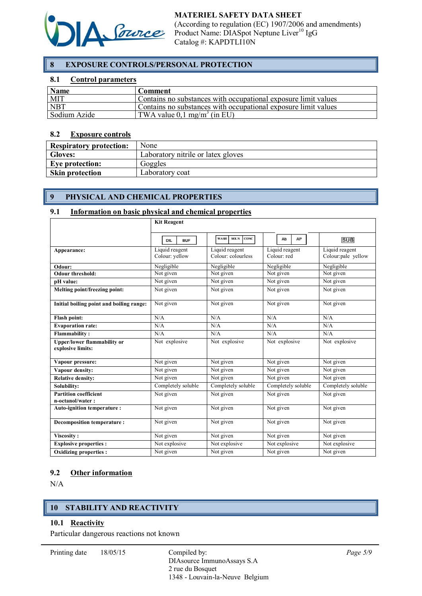

# 8 EXPOSURE CONTROLS/PERSONAL PROTECTION

#### 8.1 Control parameters

| <b>Name</b>  | Comment                                                        |
|--------------|----------------------------------------------------------------|
| <b>MIT</b>   | Contains no substances with occupational exposure limit values |
| <b>NBT</b>   | Contains no substances with occupational exposure limit values |
| Sodium Azide | TWA value $0.1 \text{ mg/m}^3$ (in EU)                         |

#### 8.2 Exposure controls

| <b>Respiratory protection:</b> | None                               |
|--------------------------------|------------------------------------|
| <b>Gloves:</b>                 | Laboratory nitrile or latex gloves |
| Eye protection:                | Goggles                            |
| <b>Skin protection</b>         | Laboratory coat                    |

## 9 PHYSICAL AND CHEMICAL PROPERTIES

#### 9.1 Information on basic physical and chemical properties

|                                                         | <b>Kit Reagent</b>               |                                      |                               |                                      |
|---------------------------------------------------------|----------------------------------|--------------------------------------|-------------------------------|--------------------------------------|
|                                                         | <b>BUF</b><br>DIL.               | WASH.<br>SOLN<br>CONC.               | AP<br>Ab                      | <b>SUB</b>                           |
| Appearance:                                             | Liquid reagent<br>Colour: yellow | Liquid reagent<br>Colour: colourless | Liquid reagent<br>Colour: red | Liquid reagent<br>Colour:pale yellow |
| Odour:                                                  | Negligible                       | Negligible                           | Negligible                    | Negligible                           |
| <b>Odour threshold:</b>                                 | Not given                        | Not given                            | Not given                     | Not given                            |
| pH value:                                               | Not given                        | Not given                            | Not given                     | Not given                            |
| Melting point/freezing point:                           | Not given                        | Not given                            | Not given                     | Not given                            |
| Initial boiling point and boiling range:                | Not given                        | Not given                            | Not given                     | Not given                            |
| <b>Flash point:</b>                                     | N/A                              | N/A                                  | N/A                           | N/A                                  |
| <b>Evaporation rate:</b>                                | N/A                              | N/A                                  | N/A                           | N/A                                  |
| <b>Flammability:</b>                                    | N/A                              | N/A                                  | N/A                           | N/A                                  |
| <b>Upper/lower flammability or</b><br>explosive limits: | Not explosive                    | Not explosive                        | Not explosive                 | Not explosive                        |
| Vapour pressure:                                        | Not given                        | Not given                            | Not given                     | Not given                            |
| Vapour density:                                         | Not given                        | Not given                            | Not given                     | Not given                            |
| <b>Relative density:</b>                                | Not given                        | Not given                            | Not given                     | $\overline{\text{Not}}$ given        |
| Solubility:                                             | Completely soluble               | Completely soluble                   | Completely soluble            | Completely soluble                   |
| <b>Partition coefficient</b><br>n-octanol/water:        | Not given                        | Not given                            | $\overline{\text{Not}}$ given | Not given                            |
| Auto-ignition temperature:                              | Not given                        | Not given                            | Not given                     | Not given                            |
| <b>Decomposition temperature:</b>                       | Not given                        | Not given                            | Not given                     | Not given                            |
| Viscosity:                                              | Not given                        | Not given                            | Not given                     | Not given                            |
| <b>Explosive properties:</b>                            | Not explosive                    | Not explosive                        | Not explosive                 | Not explosive                        |
| <b>Oxidizing properties:</b>                            | Not given                        | Not given                            | Not given                     | Not given                            |

#### 9.2 Other information

N/A

# 10 STABILITY AND REACTIVITY

#### 10.1 Reactivity

Particular dangerous reactions not known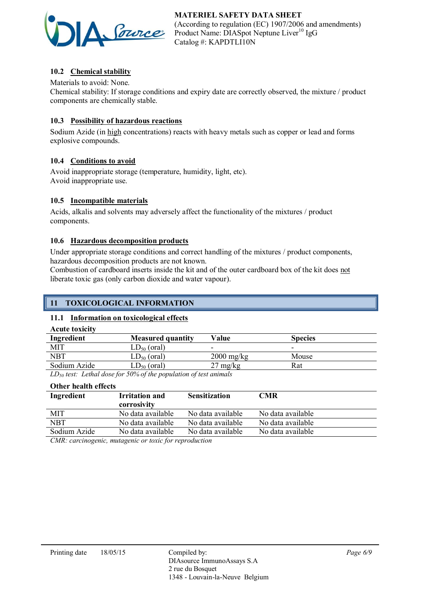

# 10.2 Chemical stability

Materials to avoid: None.

Chemical stability: If storage conditions and expiry date are correctly observed, the mixture / product components are chemically stable.

## 10.3 Possibility of hazardous reactions

Sodium Azide (in high concentrations) reacts with heavy metals such as copper or lead and forms explosive compounds.

## 10.4 Conditions to avoid

Avoid inappropriate storage (temperature, humidity, light, etc). Avoid inappropriate use.

## 10.5 Incompatible materials

Acids, alkalis and solvents may adversely affect the functionality of the mixtures / product components.

## 10.6 Hazardous decomposition products

Under appropriate storage conditions and correct handling of the mixtures / product components, hazardous decomposition products are not known.

Combustion of cardboard inserts inside the kit and of the outer cardboard box of the kit does not liberate toxic gas (only carbon dioxide and water vapour).

## 11 TOXICOLOGICAL INFORMATION

## 11.1 Information on toxicological effects

| <b>Acute toxicity</b> |                          |                      |                          |  |
|-----------------------|--------------------------|----------------------|--------------------------|--|
| Ingredient            | <b>Measured quantity</b> | Value                | <b>Species</b>           |  |
| <b>MIT</b>            | $LD_{50}$ (oral)         | -                    | $\overline{\phantom{0}}$ |  |
| NBT                   | $LD_{50}$ (oral)         | $2000 \text{ mg/kg}$ | Mouse                    |  |
| Sodium Azide          | $LD_{50}$ (oral)         | $27 \text{ mg/kg}$   | Rat                      |  |
|                       |                          |                      |                          |  |

*LD50 test: Lethal dose for 50% of the population of test animals*

| Other health effects |                                      |                      |                   |
|----------------------|--------------------------------------|----------------------|-------------------|
| Ingredient           | <b>Irritation and</b><br>corrosivity | <b>Sensitization</b> | CMR               |
| <b>MIT</b>           | No data available                    | No data available    | No data available |
| <b>NBT</b>           | No data available                    | No data available    | No data available |
| Sodium Azide         | No data available                    | No data available    | No data available |
| $\sim$ $\sim$        | $\sim$ $\sim$ $\sim$ $\sim$ $\sim$   |                      |                   |

*CMR: carcinogenic, mutagenic or toxic for reproduction*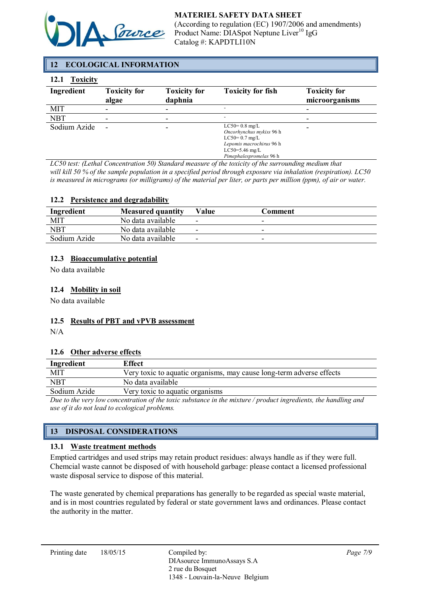

# 12 ECOLOGICAL INFORMATION

## 12.1 Toxicity

| .            |                              |                                |                                                                                                                                           |                                       |
|--------------|------------------------------|--------------------------------|-------------------------------------------------------------------------------------------------------------------------------------------|---------------------------------------|
| Ingredient   | <b>Toxicity for</b><br>algae | <b>Toxicity for</b><br>daphnia | <b>Toxicity for fish</b>                                                                                                                  | <b>Toxicity for</b><br>microorganisms |
| <b>MIT</b>   | ۰                            |                                |                                                                                                                                           |                                       |
| <b>NBT</b>   | $\overline{\phantom{0}}$     |                                |                                                                                                                                           | -                                     |
| Sodium Azide | $\overline{\phantom{0}}$     |                                | $LC50=0.8$ mg/L<br>Oncorhynchus mykiss 96 h<br>$LC50=0.7$ mg/L<br>Lepomis macrochirus 96 h<br>$LC50=5.46$ mg/L<br>Pimephalespromelas 96 h |                                       |

*LC50 test: (Lethal Concentration 50) Standard measure of the toxicity of the surrounding medium that will kill 50 % of the sample population in a specified period through exposure via inhalation (respiration). LC50 is measured in micrograms (or milligrams) of the material per liter, or parts per million (ppm), of air or water.*

#### 12.2 Persistence and degradability

| Ingredient   | <b>Measured quantity</b> | Value                    | Comment                  |
|--------------|--------------------------|--------------------------|--------------------------|
| MIT          | No data available        | -                        | -                        |
| <b>NBT</b>   | No data available        | $\overline{\phantom{0}}$ | $\overline{\phantom{0}}$ |
| Sodium Azide | No data available        | $\overline{\phantom{0}}$ | $\overline{\phantom{a}}$ |

#### 12.3 Bioaccumulative potential

No data available

## 12.4 Mobility in soil

No data available

## 12.5 Results of PBT and vPVB assessment

N/A

#### 12.6 Other adverse effects

| Ingredient                                                                                                     | <b>Effect</b>                                                        |  |
|----------------------------------------------------------------------------------------------------------------|----------------------------------------------------------------------|--|
| MIT                                                                                                            | Very toxic to aquatic organisms, may cause long-term adverse effects |  |
| <b>NBT</b>                                                                                                     | No data available                                                    |  |
| Sodium Azide                                                                                                   | Very toxic to aquatic organisms                                      |  |
| Due to the year low concentration of the toxic substance in the mixture (wo duct inovedients, the handling and |                                                                      |  |

*Due to the very low concentration of the toxic substance in the mixture / product ingredients, the handling and use of it do not lead to ecological problems.*

# 13 DISPOSAL CONSIDERATIONS

#### 13.1 Waste treatment methods

Emptied cartridges and used strips may retain product residues: always handle as if they were full. Chemcial waste cannot be disposed of with household garbage: please contact a licensed professional waste disposal service to dispose of this material.

The waste generated by chemical preparations has generally to be regarded as special waste material, and is in most countries regulated by federal or state government laws and ordinances. Please contact the authority in the matter.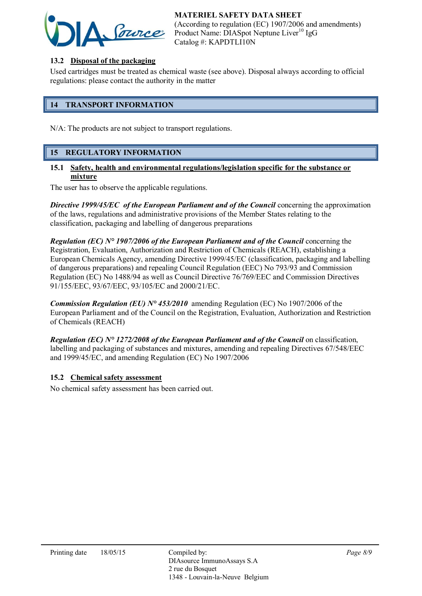

## 13.2 Disposal of the packaging

Used cartridges must be treated as chemical waste (see above). Disposal always according to official regulations: please contact the authority in the matter

## 14 TRANSPORT INFORMATION

N/A: The products are not subject to transport regulations.

## 15 REGULATORY INFORMATION

#### 15.1 Safety, health and environmental regulations/legislation specific for the substance or mixture

The user has to observe the applicable regulations.

**Directive 1999/45/EC** of the European Parliament and of the Council concerning the approximation of the laws, regulations and administrative provisions of the Member States relating to the classification, packaging and labelling of dangerous preparations

*Regulation (EC) N° 1907/2006 of the European Parliament and of the Council* concerning the Registration, Evaluation, Authorization and Restriction of Chemicals (REACH), establishing a European Chemicals Agency, amending Directive 1999/45/EC (classification, packaging and labelling of dangerous preparations) and repealing Council Regulation (EEC) No 793/93 and Commission Regulation (EC) No 1488/94 as well as Council Directive 76/769/EEC and Commission Directives 91/155/EEC, 93/67/EEC, 93/105/EC and 2000/21/EC.

*Commission Regulation (EU) N° 453/2010* amending Regulation (EC) No 1907/2006 of the European Parliament and of the Council on the Registration, Evaluation, Authorization and Restriction of Chemicals (REACH)

*Regulation (EC) N° 1272/2008 of the European Parliament and of the Council* on classification, labelling and packaging of substances and mixtures, amending and repealing Directives 67/548/EEC and 1999/45/EC, and amending Regulation (EC) No 1907/2006

#### 15.2 Chemical safety assessment

No chemical safety assessment has been carried out.